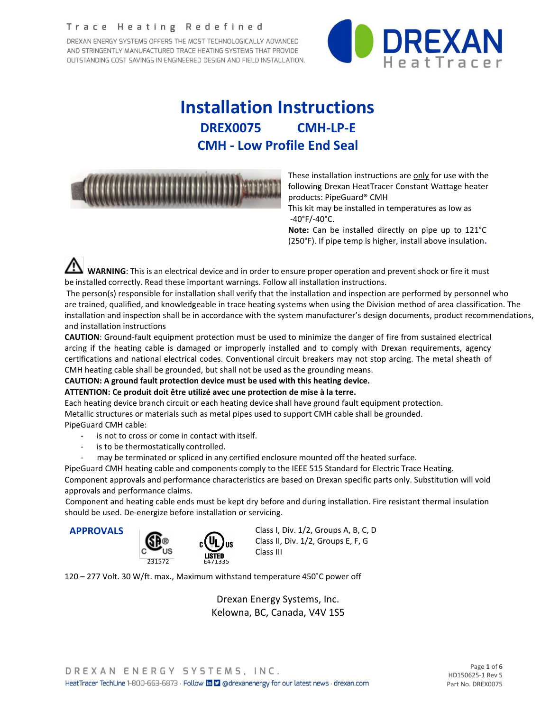#### Trace Heating Redefined

DREXAN ENERGY SYSTEMS OFFERS THE MOST TECHNOLOGICALLY ADVANCED AND STRINGENTLY MANUFACTURED TRACE HEATING SYSTEMS THAT PROVIDE OUTSTANDING COST SAVINGS IN ENGINEERED DESIGN AND FIELD INSTALLATION.



# **Installation Instructions DREX0075 CMH-LP-E CMH - Low Profile End Seal**

| <b>CONTINUES IN A PRODUCT OF A PRODUCT</b> |  |  |
|--------------------------------------------|--|--|
|--------------------------------------------|--|--|

These installation instructions are only for use with the following Drexan HeatTracer Constant Wattage heater products: PipeGuard® CMH

This kit may be installed in temperatures as low as -40°F/-40°C.

**Note:** Can be installed directly on pipe up to 121°C (250°F). If pipe temp is higher, install above insulation**.**

**WARNING**: This is an electrical device and in order to ensure proper operation and prevent shock or fire it must be installed correctly. Read these important warnings. Follow all installation instructions.

The person(s) responsible for installation shall verify that the installation and inspection are performed by personnel who are trained, qualified, and knowledgeable in trace heating systems when using the Division method of area classification. The installation and inspection shall be in accordance with the system manufacturer's design documents, product recommendations, and installation instructions

**CAUTION**: Ground-fault equipment protection must be used to minimize the danger of fire from sustained electrical arcing if the heating cable is damaged or improperly installed and to comply with Drexan requirements, agency certifications and national electrical codes. Conventional circuit breakers may not stop arcing. The metal sheath of CMH heating cable shall be grounded, but shall not be used as the grounding means.

#### **CAUTION: A ground fault protection device must be used with this heating device.**

#### **ATTENTION: Ce produit doit être utilizé avec une protection de mise à la terre.**

Each heating device branch circuit or each heating device shall have ground fault equipment protection. Metallic structures or materials such as metal pipes used to support CMH cable shall be grounded. PipeGuard CMH cable:

- is not to cross or come in contact with itself.
- is to be thermostatically controlled.
- may be terminated or spliced in any certified enclosure mounted off the heated surface.

PipeGuard CMH heating cable and components comply to the IEEE 515 Standard for Electric Trace Heating.

Component approvals and performance characteristics are based on Drexan specific parts only. Substitution will void approvals and performance claims.

Component and heating cable ends must be kept dry before and during installation. Fire resistant thermal insulation should be used. De-energize before installation or servicing.



**APPROVALS** Class I, Div. 1/2, Groups A, B, C, D Class II, Div. 1/2, Groups E, F, G Class III

120 – 277 Volt. 30 W/ft. max., Maximum withstand temperature 450˚C power off

Drexan Energy Systems, Inc. Kelowna, BC, Canada, V4V 1S5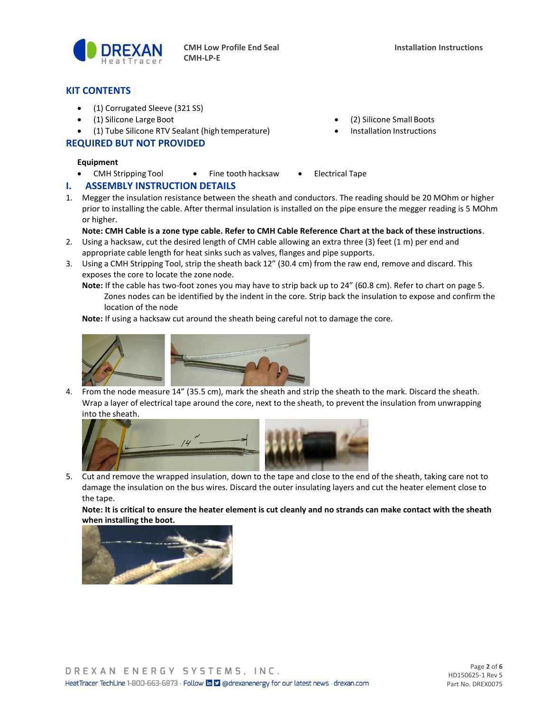

#### **KIT CONTENTS**

- (1) Corrugated Sleeve (321 SS)
- (1) Silicone Large Boot (2) Silicone Small Boots
- (1) Tube Silicone RTV Sealant (high temperature) Installation Instructions

#### **REQUIRED BUT NOT PROVIDED**

#### **Equipment**

• CMH Stripping Tool • Fine tooth hacksaw • Electrical Tape

### **I. ASSEMBLY INSTRUCTION DETAILS**

1. Megger the insulation resistance between the sheath and conductors. The reading should be 20 MOhm or higher prior to installing the cable. After thermal insulation is installed on the pipe ensure the megger reading is 5 MOhm or higher.

#### **Note: CMH Cable is a zone type cable. Refer to CMH Cable Reference Chart at the back of these instructions**.

- 2. Using a hacksaw, cut the desired length of CMH cable allowing an extra three (3) feet (1 m) per end and appropriate cable length for heat sinks such as valves, flanges and pipe supports.
- 3. Using a CMH Stripping Tool, strip the sheath back 12" (30.4 cm) from the raw end, remove and discard. This exposes the core to locate the zone node.
	- **Note:** If the cable has two-foot zones you may have to strip back up to 24" (60.8 cm). Refer to chart on page 5. Zones nodes can be identified by the indent in the core. Strip back the insulation to expose and confirm the location of the node

**Note:** If using a hacksaw cut around the sheath being careful not to damage the core.



4. From the node measure 14" (35.5 cm), mark the sheath and strip the sheath to the mark. Discard the sheath. Wrap a layer of electrical tape around the core, next to the sheath, to prevent the insulation from unwrapping into the sheath.



5. Cut and remove the wrapped insulation, down to the tape and close to the end of the sheath, taking care not to damage the insulation on the bus wires. Discard the outer insulating layers and cut the heater element close to the tape.

**Note: It is critical to ensure the heater element is cut cleanly and no strands can make contact with the sheath when installing the boot.**



- 
-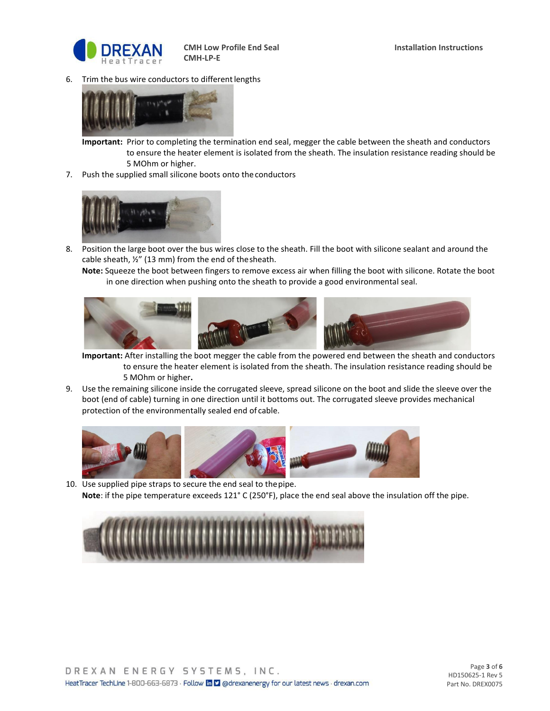

6. Trim the bus wire conductors to different lengths



**Important:** Prior to completing the termination end seal, megger the cable between the sheath and conductors to ensure the heater element is isolated from the sheath. The insulation resistance reading should be 5 MOhm or higher.

7. Push the supplied small silicone boots onto theconductors



8. Position the large boot over the bus wires close to the sheath. Fill the boot with silicone sealant and around the cable sheath, ½" (13 mm) from the end of thesheath.

**Note:** Squeeze the boot between fingers to remove excess air when filling the boot with silicone. Rotate the boot in one direction when pushing onto the sheath to provide a good environmental seal.



**Important:** After installing the boot megger the cable from the powered end between the sheath and conductors to ensure the heater element is isolated from the sheath. The insulation resistance reading should be 5 MOhm or higher**.**

9. Use the remaining silicone inside the corrugated sleeve, spread silicone on the boot and slide the sleeve over the boot (end of cable) turning in one direction until it bottoms out. The corrugated sleeve provides mechanical protection of the environmentally sealed end of cable.



10. Use supplied pipe straps to secure the end seal to thepipe. **Note**: if the pipe temperature exceeds 121° C (250°F), place the end seal above the insulation off the pipe.

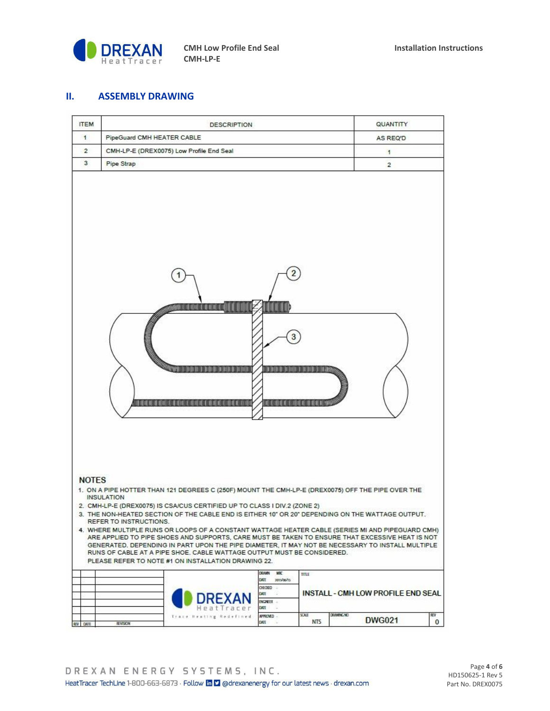

#### **II. ASSEMBLY DRAWING**

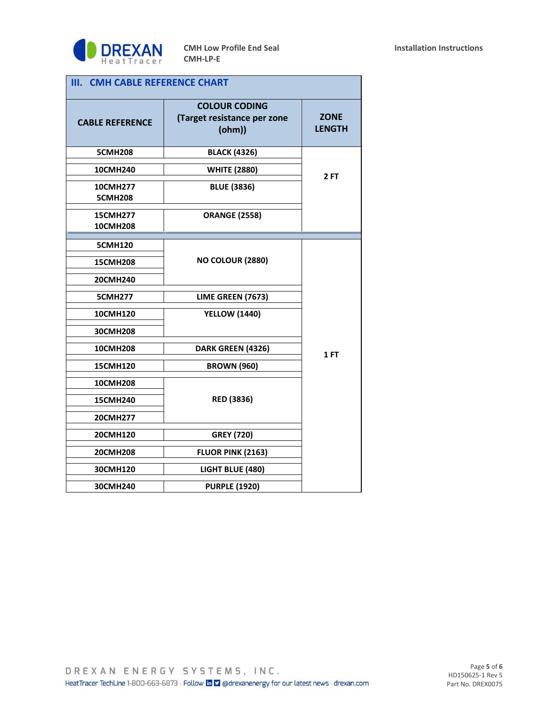

| <b>CMH CABLE REFERENCE CHART</b><br>Ш. |                                                               |                              |  |  |  |  |  |  |
|----------------------------------------|---------------------------------------------------------------|------------------------------|--|--|--|--|--|--|
| <b>CABLE REFERENCE</b>                 | <b>COLOUR CODING</b><br>(Target resistance per zone<br>(ohm)) | <b>ZONE</b><br><b>LENGTH</b> |  |  |  |  |  |  |
| <b>5CMH208</b>                         | <b>BLACK (4326)</b>                                           |                              |  |  |  |  |  |  |
| 10CMH240                               | <b>WHITE (2880)</b>                                           | 2FT                          |  |  |  |  |  |  |
| 10CMH277<br><b>5CMH208</b>             | <b>BLUE (3836)</b>                                            |                              |  |  |  |  |  |  |
| <b>15CMH277</b><br><b>10CMH208</b>     | <b>ORANGE (2558)</b>                                          |                              |  |  |  |  |  |  |
| <b>5CMH120</b>                         |                                                               |                              |  |  |  |  |  |  |
| <b>15CMH208</b>                        | <b>NO COLOUR (2880)</b>                                       |                              |  |  |  |  |  |  |
| 20CMH240                               |                                                               |                              |  |  |  |  |  |  |
| <b>5CMH277</b>                         | LIME GREEN (7673)                                             |                              |  |  |  |  |  |  |
| 10CMH120                               | <b>YELLOW (1440)</b>                                          |                              |  |  |  |  |  |  |
| 30CMH208                               |                                                               |                              |  |  |  |  |  |  |
| <b>10CMH208</b>                        | DARK GREEN (4326)                                             | 1 FT                         |  |  |  |  |  |  |
| 15CMH120                               | <b>BROWN (960)</b>                                            |                              |  |  |  |  |  |  |
| <b>10CMH208</b>                        |                                                               |                              |  |  |  |  |  |  |
| <b>15CMH240</b>                        | <b>RED (3836)</b>                                             |                              |  |  |  |  |  |  |
| 20CMH277                               |                                                               |                              |  |  |  |  |  |  |
| 20CMH120                               | <b>GREY (720)</b>                                             |                              |  |  |  |  |  |  |
| <b>20CMH208</b>                        | FLUOR PINK (2163)                                             |                              |  |  |  |  |  |  |
| 30CMH120                               | LIGHT BLUE (480)                                              |                              |  |  |  |  |  |  |
| 30CMH240                               | <b>PURPLE (1920)</b>                                          |                              |  |  |  |  |  |  |